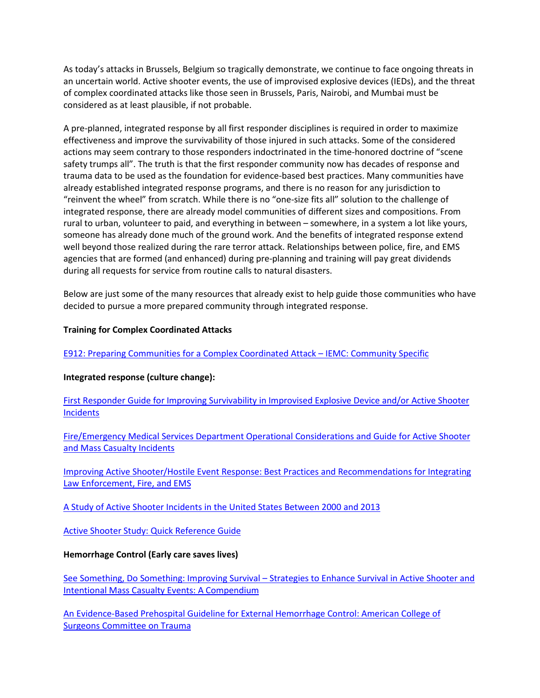As today's attacks in Brussels, Belgium so tragically demonstrate, we continue to face ongoing threats in an uncertain world. Active shooter events, the use of improvised explosive devices (IEDs), and the threat of complex coordinated attacks like those seen in Brussels, Paris, Nairobi, and Mumbai must be considered as at least plausible, if not probable.

A pre-planned, integrated response by all first responder disciplines is required in order to maximize effectiveness and improve the survivability of those injured in such attacks. Some of the considered actions may seem contrary to those responders indoctrinated in the time-honored doctrine of "scene safety trumps all". The truth is that the first responder community now has decades of response and trauma data to be used as the foundation for evidence-based best practices. Many communities have already established integrated response programs, and there is no reason for any jurisdiction to "reinvent the wheel" from scratch. While there is no "one-size fits all" solution to the challenge of integrated response, there are already model communities of different sizes and compositions. From rural to urban, volunteer to paid, and everything in between – somewhere, in a system a lot like yours, someone has already done much of the ground work. And the benefits of integrated response extend well beyond those realized during the rare terror attack. Relationships between police, fire, and EMS agencies that are formed (and enhanced) during pre-planning and training will pay great dividends during all requests for service from routine calls to natural disasters.

Below are just some of the many resources that already exist to help guide those communities who have decided to pursue a more prepared community through integrated response.

# **Training for Complex Coordinated Attacks**

[E912: Preparing Communities for a Complex Coordinated Attack](http://training.fema.gov/emicourses/crsdetail.aspx?cid=E912&ctype=R) – IEMC: Community Specific

# **Integrated response (culture change):**

First Responder Guide for [Improving Survivability in Improvised Explosive Device and/or Active Shooter](http://www.dhs.gov/sites/default/files/publications/First%20Responder%20Guidance%20June%202015%20FINAL%202.pdf)  **[Incidents](http://www.dhs.gov/sites/default/files/publications/First%20Responder%20Guidance%20June%202015%20FINAL%202.pdf)** 

[Fire/Emergency Medical Services Department Operational Considerations and](https://www.usfa.fema.gov/downloads/pdf/publications/active_shooter_guide.pdf) Guide for Active Shooter [and Mass Casualty Incidents](https://www.usfa.fema.gov/downloads/pdf/publications/active_shooter_guide.pdf)

[Improving Active Shooter/Hostile Event Response: Best Practices and Recommendations for Integrating](http://www.interagencyboard.org/sites/default/files/publications/External%20IAB%20Active%20Shooter%20Summit%20Report.pdf)  [Law Enforcement, Fire, and EMS](http://www.interagencyboard.org/sites/default/files/publications/External%20IAB%20Active%20Shooter%20Summit%20Report.pdf)

[A Study of Active Shooter Incidents in the United States Between 2000 and 2013](https://www.fbi.gov/news/stories/2014/september/fbi-releases-study-on-active-shooter-incidents/pdfs/a-study-of-active-shooter-incidents-in-the-u.s.-between-2000-and-2013)

[Active Shooter Study: Quick Reference Guide](https://www.fbi.gov/about-us/office-of-partner-engagement/active-shooter-incidents/active-shooter-study-quick-reference-guide)

#### **Hemorrhage Control (Early care saves lives)**

See Something, Do Something: Improving Survival – [Strategies to Enhance Survival in Active Shooter and](https://www.facs.org/%7E/media/files/publications/bulletin/hartford%20consensus%20compendium.ashx)  [Intentional Mass Casualty Events: A Compendium](https://www.facs.org/%7E/media/files/publications/bulletin/hartford%20consensus%20compendium.ashx)

[An Evidence-Based Prehospital Guideline for External Hemorrhage Control: American College of](https://www.facs.org/%7E/media/files/quality%20programs/trauma/education/acscot%20evidencebased%20prehospital%20guidelines%20for%20external%20hemmorrhage%20control.ashx)  [Surgeons Committee on Trauma](https://www.facs.org/%7E/media/files/quality%20programs/trauma/education/acscot%20evidencebased%20prehospital%20guidelines%20for%20external%20hemmorrhage%20control.ashx)